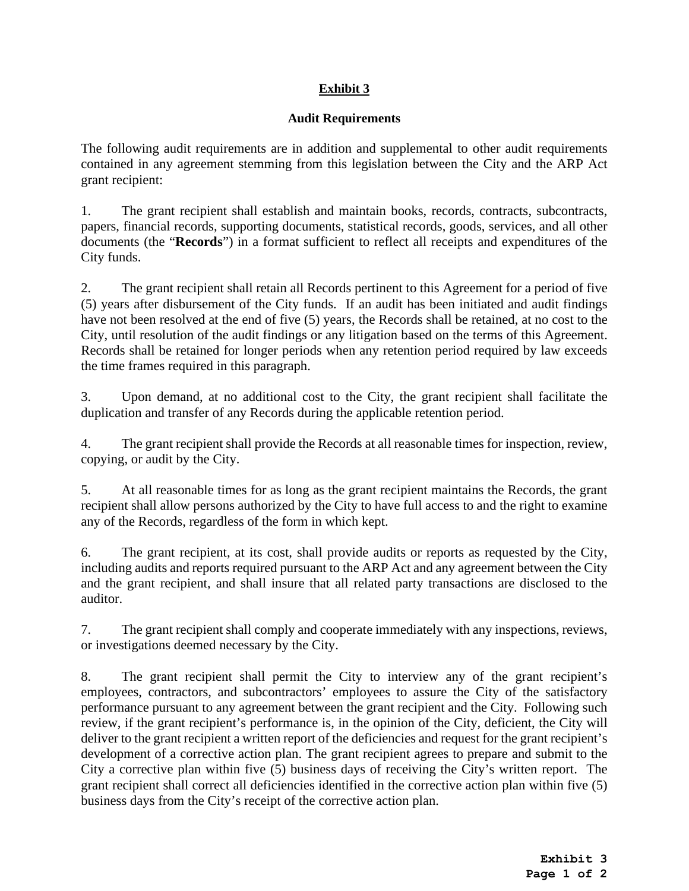## **Exhibit 3**

## **Audit Requirements**

The following audit requirements are in addition and supplemental to other audit requirements contained in any agreement stemming from this legislation between the City and the ARP Act grant recipient:

1. The grant recipient shall establish and maintain books, records, contracts, subcontracts, papers, financial records, supporting documents, statistical records, goods, services, and all other documents (the "**Records**") in a format sufficient to reflect all receipts and expenditures of the City funds.

2. The grant recipient shall retain all Records pertinent to this Agreement for a period of five (5) years after disbursement of the City funds. If an audit has been initiated and audit findings have not been resolved at the end of five (5) years, the Records shall be retained, at no cost to the City, until resolution of the audit findings or any litigation based on the terms of this Agreement. Records shall be retained for longer periods when any retention period required by law exceeds the time frames required in this paragraph.

3. Upon demand, at no additional cost to the City, the grant recipient shall facilitate the duplication and transfer of any Records during the applicable retention period.

4. The grant recipient shall provide the Records at all reasonable times for inspection, review, copying, or audit by the City.

5. At all reasonable times for as long as the grant recipient maintains the Records, the grant recipient shall allow persons authorized by the City to have full access to and the right to examine any of the Records, regardless of the form in which kept.

6. The grant recipient, at its cost, shall provide audits or reports as requested by the City, including audits and reports required pursuant to the ARP Act and any agreement between the City and the grant recipient, and shall insure that all related party transactions are disclosed to the auditor.

7. The grant recipient shall comply and cooperate immediately with any inspections, reviews, or investigations deemed necessary by the City.

8. The grant recipient shall permit the City to interview any of the grant recipient's employees, contractors, and subcontractors' employees to assure the City of the satisfactory performance pursuant to any agreement between the grant recipient and the City. Following such review, if the grant recipient's performance is, in the opinion of the City, deficient, the City will deliver to the grant recipient a written report of the deficiencies and request for the grant recipient's development of a corrective action plan. The grant recipient agrees to prepare and submit to the City a corrective plan within five (5) business days of receiving the City's written report. The grant recipient shall correct all deficiencies identified in the corrective action plan within five (5) business days from the City's receipt of the corrective action plan.